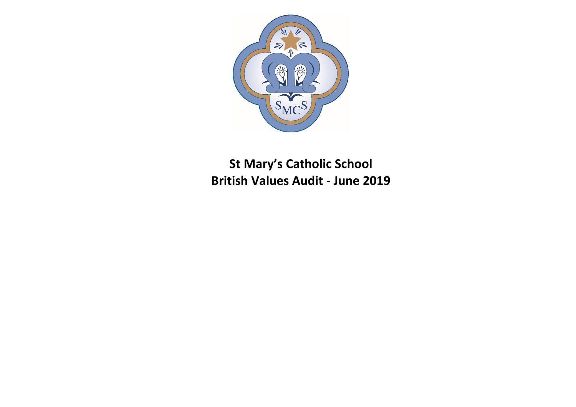

# **St Mary's Catholic School British Values Audit - June 2019**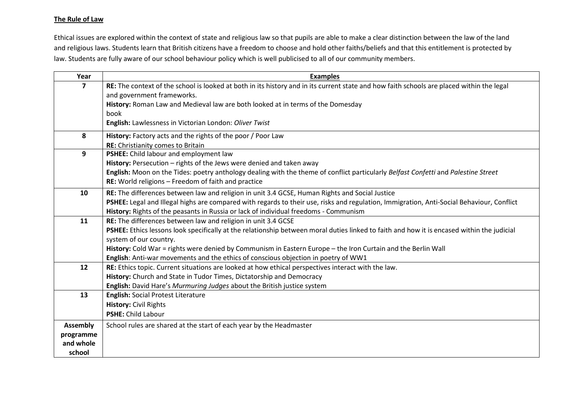# **The Rule of Law**

Ethical issues are explored within the context of state and religious law so that pupils are able to make a clear distinction between the law of the land and religious laws. Students learn that British citizens have a freedom to choose and hold other faiths/beliefs and that this entitlement is protected by law. Students are fully aware of our school behaviour policy which is well publicised to all of our community members.

| Year            | <b>Examples</b>                                                                                                                            |
|-----------------|--------------------------------------------------------------------------------------------------------------------------------------------|
| 7               | RE: The context of the school is looked at both in its history and in its current state and how faith schools are placed within the legal  |
|                 | and government frameworks.                                                                                                                 |
|                 | History: Roman Law and Medieval law are both looked at in terms of the Domesday                                                            |
|                 | book                                                                                                                                       |
|                 | English: Lawlessness in Victorian London: Oliver Twist                                                                                     |
| 8               | History: Factory acts and the rights of the poor / Poor Law                                                                                |
|                 | <b>RE:</b> Christianity comes to Britain                                                                                                   |
| 9               | PSHEE: Child labour and employment law                                                                                                     |
|                 | History: Persecution - rights of the Jews were denied and taken away                                                                       |
|                 | English: Moon on the Tides: poetry anthology dealing with the theme of conflict particularly Belfast Confetti and Palestine Street         |
|                 | RE: World religions - Freedom of faith and practice                                                                                        |
| 10              | RE: The differences between law and religion in unit 3.4 GCSE, Human Rights and Social Justice                                             |
|                 | PSHEE: Legal and Illegal highs are compared with regards to their use, risks and regulation, Immigration, Anti-Social Behaviour, Conflict  |
|                 | History: Rights of the peasants in Russia or lack of individual freedoms - Communism                                                       |
| 11              | RE: The differences between law and religion in unit 3.4 GCSE                                                                              |
|                 | PSHEE: Ethics lessons look specifically at the relationship between moral duties linked to faith and how it is encased within the judicial |
|                 | system of our country.                                                                                                                     |
|                 | History: Cold War = rights were denied by Communism in Eastern Europe - the Iron Curtain and the Berlin Wall                               |
|                 | English: Anti-war movements and the ethics of conscious objection in poetry of WW1                                                         |
| 12              | RE: Ethics topic. Current situations are looked at how ethical perspectives interact with the law.                                         |
|                 | History: Church and State in Tudor Times, Dictatorship and Democracy                                                                       |
|                 | English: David Hare's Murmuring Judges about the British justice system                                                                    |
| 13              | <b>English: Social Protest Literature</b>                                                                                                  |
|                 | <b>History: Civil Rights</b>                                                                                                               |
|                 | PSHE: Child Labour                                                                                                                         |
| <b>Assembly</b> | School rules are shared at the start of each year by the Headmaster                                                                        |
| programme       |                                                                                                                                            |
| and whole       |                                                                                                                                            |
| school          |                                                                                                                                            |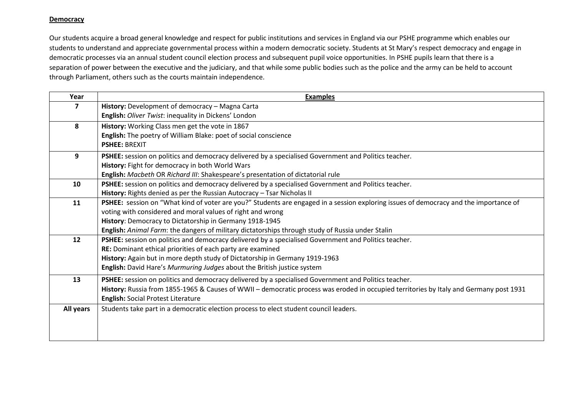#### **Democracy**

Our students acquire a broad general knowledge and respect for public institutions and services in England via our PSHE programme which enables our students to understand and appreciate governmental process within a modern democratic society. Students at St Mary's respect democracy and engage in democratic processes via an annual student council election process and subsequent pupil voice opportunities. In PSHE pupils learn that there is a separation of power between the executive and the judiciary, and that while some public bodies such as the police and the army can be held to account through Parliament, others such as the courts maintain independence.

| Year                                                                                                       | <b>Examples</b>                                                                                                                        |
|------------------------------------------------------------------------------------------------------------|----------------------------------------------------------------------------------------------------------------------------------------|
| 7                                                                                                          | History: Development of democracy - Magna Carta                                                                                        |
|                                                                                                            | English: Oliver Twist: inequality in Dickens' London                                                                                   |
| 8                                                                                                          | History: Working Class men get the vote in 1867                                                                                        |
|                                                                                                            | English: The poetry of William Blake: poet of social conscience                                                                        |
|                                                                                                            | <b>PSHEE: BREXIT</b>                                                                                                                   |
| 9                                                                                                          | PSHEE: session on politics and democracy delivered by a specialised Government and Politics teacher.                                   |
|                                                                                                            | History: Fight for democracy in both World Wars                                                                                        |
|                                                                                                            | English: Macbeth OR Richard III: Shakespeare's presentation of dictatorial rule                                                        |
| PSHEE: session on politics and democracy delivered by a specialised Government and Politics teacher.<br>10 |                                                                                                                                        |
|                                                                                                            | History: Rights denied as per the Russian Autocracy - Tsar Nicholas II                                                                 |
| 11                                                                                                         | PSHEE: session on "What kind of voter are you?" Students are engaged in a session exploring issues of democracy and the importance of  |
|                                                                                                            | voting with considered and moral values of right and wrong                                                                             |
|                                                                                                            | History: Democracy to Dictatorship in Germany 1918-1945                                                                                |
|                                                                                                            | English: Animal Farm: the dangers of military dictatorships through study of Russia under Stalin                                       |
| 12                                                                                                         | PSHEE: session on politics and democracy delivered by a specialised Government and Politics teacher.                                   |
|                                                                                                            | RE: Dominant ethical priorities of each party are examined                                                                             |
|                                                                                                            | History: Again but in more depth study of Dictatorship in Germany 1919-1963                                                            |
|                                                                                                            | English: David Hare's Murmuring Judges about the British justice system                                                                |
| 13                                                                                                         | PSHEE: session on politics and democracy delivered by a specialised Government and Politics teacher.                                   |
|                                                                                                            | History: Russia from 1855-1965 & Causes of WWII - democratic process was eroded in occupied territories by Italy and Germany post 1931 |
|                                                                                                            | <b>English: Social Protest Literature</b>                                                                                              |
| All years                                                                                                  | Students take part in a democratic election process to elect student council leaders.                                                  |
|                                                                                                            |                                                                                                                                        |
|                                                                                                            |                                                                                                                                        |
|                                                                                                            |                                                                                                                                        |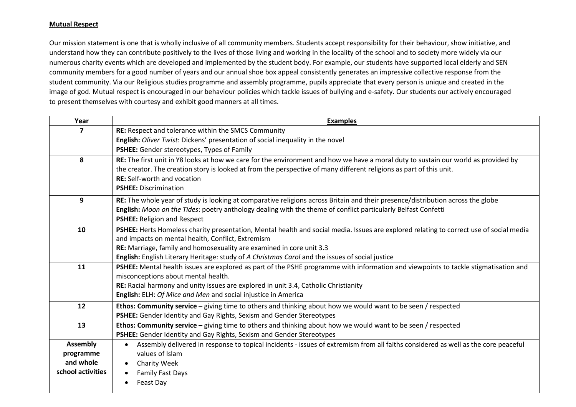#### **Mutual Respect**

Our mission statement is one that is wholly inclusive of all community members. Students accept responsibility for their behaviour, show initiative, and understand how they can contribute positively to the lives of those living and working in the locality of the school and to society more widely via our numerous charity events which are developed and implemented by the student body. For example, our students have supported local elderly and SEN community members for a good number of years and our annual shoe box appeal consistently generates an impressive collective response from the student community. Via our Religious studies programme and assembly programme, pupils appreciate that every person is unique and created in the image of god. Mutual respect is encouraged in our behaviour policies which tackle issues of bullying and e-safety. Our students our actively encouraged to present themselves with courtesy and exhibit good manners at all times.

| Year                   | <b>Examples</b>                                                                                                                                      |
|------------------------|------------------------------------------------------------------------------------------------------------------------------------------------------|
| 7                      | RE: Respect and tolerance within the SMCS Community                                                                                                  |
|                        | English: Oliver Twist: Dickens' presentation of social inequality in the novel                                                                       |
|                        | PSHEE: Gender stereotypes, Types of Family                                                                                                           |
| 8                      | RE: The first unit in Y8 looks at how we care for the environment and how we have a moral duty to sustain our world as provided by                   |
|                        | the creator. The creation story is looked at from the perspective of many different religions as part of this unit.                                  |
|                        | <b>RE:</b> Self-worth and vocation                                                                                                                   |
|                        | <b>PSHEE: Discrimination</b>                                                                                                                         |
| 9                      | RE: The whole year of study is looking at comparative religions across Britain and their presence/distribution across the globe                      |
|                        | English: Moon on the Tides: poetry anthology dealing with the theme of conflict particularly Belfast Confetti                                        |
|                        | <b>PSHEE: Religion and Respect</b>                                                                                                                   |
| 10                     | PSHEE: Herts Homeless charity presentation, Mental health and social media. Issues are explored relating to correct use of social media              |
|                        | and impacts on mental health, Conflict, Extremism                                                                                                    |
|                        | RE: Marriage, family and homosexuality are examined in core unit 3.3                                                                                 |
|                        | English: English Literary Heritage: study of A Christmas Carol and the issues of social justice                                                      |
| 11                     | PSHEE: Mental health issues are explored as part of the PSHE programme with information and viewpoints to tackle stigmatisation and                  |
|                        | misconceptions about mental health.                                                                                                                  |
|                        | RE: Racial harmony and unity issues are explored in unit 3.4, Catholic Christianity<br>English: ELH: Of Mice and Men and social injustice in America |
|                        |                                                                                                                                                      |
| 12                     | Ethos: Community service $-$ giving time to others and thinking about how we would want to be seen / respected                                       |
|                        | PSHEE: Gender Identity and Gay Rights, Sexism and Gender Stereotypes                                                                                 |
| 13                     | Ethos: Community service - giving time to others and thinking about how we would want to be seen / respected                                         |
|                        | PSHEE: Gender Identity and Gay Rights, Sexism and Gender Stereotypes                                                                                 |
| <b>Assembly</b>        | Assembly delivered in response to topical incidents - issues of extremism from all faiths considered as well as the core peaceful<br>values of Islam |
| programme<br>and whole |                                                                                                                                                      |
| school activities      | <b>Charity Week</b>                                                                                                                                  |
|                        | <b>Family Fast Days</b><br>Feast Day                                                                                                                 |
|                        |                                                                                                                                                      |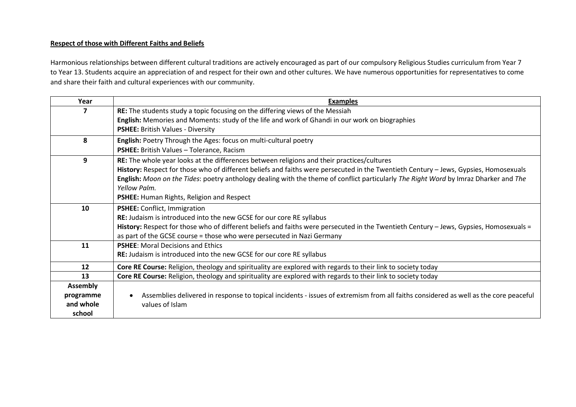### **Respect of those with Different Faiths and Beliefs**

Harmonious relationships between different cultural traditions are actively encouraged as part of our compulsory Religious Studies curriculum from Year 7 to Year 13. Students acquire an appreciation of and respect for their own and other cultures. We have numerous opportunities for representatives to come and share their faith and cultural experiences with our community.

| Year                                                | <b>Examples</b>                                                                                                                                                                                                                                                                                                                                                                                                                         |  |
|-----------------------------------------------------|-----------------------------------------------------------------------------------------------------------------------------------------------------------------------------------------------------------------------------------------------------------------------------------------------------------------------------------------------------------------------------------------------------------------------------------------|--|
|                                                     | <b>RE:</b> The students study a topic focusing on the differing views of the Messiah<br>English: Memories and Moments: study of the life and work of Ghandi in our work on biographies<br>PSHEE: British Values - Diversity                                                                                                                                                                                                             |  |
| 8                                                   | English: Poetry Through the Ages: focus on multi-cultural poetry<br>PSHEE: British Values - Tolerance, Racism                                                                                                                                                                                                                                                                                                                           |  |
| 9                                                   | RE: The whole year looks at the differences between religions and their practices/cultures<br>History: Respect for those who of different beliefs and faiths were persecuted in the Twentieth Century - Jews, Gypsies, Homosexuals<br>English: Moon on the Tides: poetry anthology dealing with the theme of conflict particularly The Right Word by Imraz Dharker and The<br>Yellow Palm.<br>PSHEE: Human Rights, Religion and Respect |  |
| 10                                                  | PSHEE: Conflict, Immigration<br><b>RE:</b> Judaism is introduced into the new GCSE for our core RE syllabus<br>History: Respect for those who of different beliefs and faiths were persecuted in the Twentieth Century - Jews, Gypsies, Homosexuals =<br>as part of the GCSE course = those who were persecuted in Nazi Germany                                                                                                         |  |
| 11                                                  | <b>PSHEE:</b> Moral Decisions and Ethics<br><b>RE:</b> Judaism is introduced into the new GCSE for our core RE syllabus                                                                                                                                                                                                                                                                                                                 |  |
| 12                                                  | Core RE Course: Religion, theology and spirituality are explored with regards to their link to society today                                                                                                                                                                                                                                                                                                                            |  |
| 13                                                  | Core RE Course: Religion, theology and spirituality are explored with regards to their link to society today                                                                                                                                                                                                                                                                                                                            |  |
| <b>Assembly</b><br>programme<br>and whole<br>school | Assemblies delivered in response to topical incidents - issues of extremism from all faiths considered as well as the core peaceful<br>values of Islam                                                                                                                                                                                                                                                                                  |  |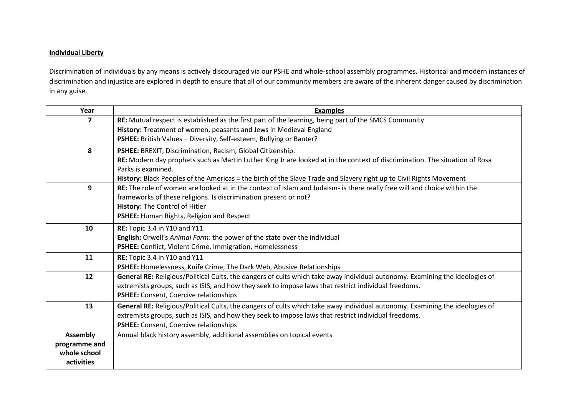## **Individual Liberty**

Discrimination of individuals by any means is actively discouraged via our PSHE and whole-school assembly programmes. Historical and modern instances of discrimination and injustice are explored in depth to ensure that all of our community members are aware of the inherent danger caused by discrimination in any guise.

| Year            | <b>Examples</b>                                                                                                              |
|-----------------|------------------------------------------------------------------------------------------------------------------------------|
| 7               | RE: Mutual respect is established as the first part of the learning, being part of the SMCS Community                        |
|                 | History: Treatment of women, peasants and Jews in Medieval England                                                           |
|                 | PSHEE: British Values - Diversity, Self-esteem, Bullying or Banter?                                                          |
| 8               | PSHEE: BREXIT, Discrimination, Racism, Global Citizenship.                                                                   |
|                 | RE: Modern day prophets such as Martin Luther King Jr are looked at in the context of discrimination. The situation of Rosa  |
|                 | Parks is examined.                                                                                                           |
|                 | History: Black Peoples of the Americas = the birth of the Slave Trade and Slavery right up to Civil Rights Movement          |
| 9               | RE: The role of women are looked at in the context of Islam and Judaism- is there really free will and choice within the     |
|                 | frameworks of these religions. Is discrimination present or not?                                                             |
|                 | History: The Control of Hitler                                                                                               |
|                 | PSHEE: Human Rights, Religion and Respect                                                                                    |
| 10              | RE: Topic 3.4 in Y10 and Y11.                                                                                                |
|                 | English: Orwell's Animal Farm: the power of the state over the individual                                                    |
|                 | PSHEE: Conflict, Violent Crime, Immigration, Homelessness                                                                    |
| 11              | RE: Topic 3.4 in Y10 and Y11                                                                                                 |
|                 | PSHEE: Homelessness, Knife Crime, The Dark Web, Abusive Relationships                                                        |
| 12              | General RE: Religious/Political Cults, the dangers of cults which take away individual autonomy. Examining the ideologies of |
|                 | extremists groups, such as ISIS, and how they seek to impose laws that restrict individual freedoms.                         |
|                 | PSHEE: Consent, Coercive relationships                                                                                       |
| 13              | General RE: Religious/Political Cults, the dangers of cults which take away individual autonomy. Examining the ideologies of |
|                 | extremists groups, such as ISIS, and how they seek to impose laws that restrict individual freedoms.                         |
|                 | PSHEE: Consent, Coercive relationships                                                                                       |
| <b>Assembly</b> | Annual black history assembly, additional assemblies on topical events                                                       |
| programme and   |                                                                                                                              |
| whole school    |                                                                                                                              |
| activities      |                                                                                                                              |